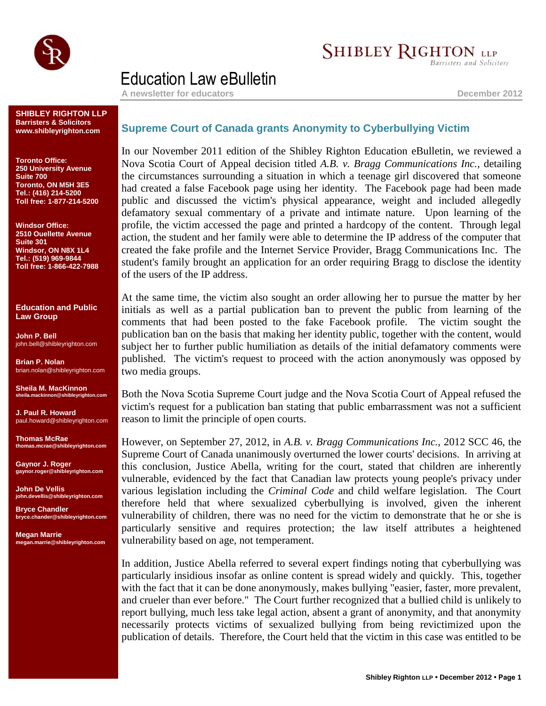

## **SHIBLEY RIGHTON LLP**

**Barristers and Solicitors** 

## Education Law eBulletin

**A newsletter for educators December 2012**

**SHIBLEY RIGHTON LLP Barristers & Solicitors www.shibleyrighton.com**

**Toronto Office: 250 University Avenue Suite 700 Toronto, ON M5H 3E5 Tel.: (416) 214-5200 Toll free: 1-877-214-5200**

**Windsor Office: 2510 Ouellette Avenue Suite 301 Windsor, ON N8X 1L4 Tel.: (519) 969-9844 Toll free: 1-866-422-7988**

**Education and Public Law Group**

**John P. Bell** john.bell@shibleyrighton.com

**Brian P. Nolan** brian.nolan@shibleyrighton.com

**Sheila M. MacKinnon sheila.mackinnon@shibleyrighton.com**

**J. Paul R. Howard** paul.howard@shibleyrighton.com

**Thomas McRae thomas.mcrae@shibleyrighton.com**

**Gaynor J. Roger gaynor.roger@shibleyrighton.com**

**John De Vellis john.devellis@shibleyrighton.com**

**Bryce Chandler bryce.chander@shibleyrighton.com**

**Megan Marrie megan.marrie@shibleyrighton.com**

## **Supreme Court of Canada grants Anonymity to Cyberbullying Victim**

In our November 2011 edition of the Shibley Righton Education eBulletin, we reviewed a Nova Scotia Court of Appeal decision titled *A.B. v. Bragg Communications Inc.*, detailing the circumstances surrounding a situation in which a teenage girl discovered that someone had created a false Facebook page using her identity. The Facebook page had been made public and discussed the victim's physical appearance, weight and included allegedly defamatory sexual commentary of a private and intimate nature. Upon learning of the profile, the victim accessed the page and printed a hardcopy of the content. Through legal action, the student and her family were able to determine the IP address of the computer that created the fake profile and the Internet Service Provider, Bragg Communications Inc. The student's family brought an application for an order requiring Bragg to disclose the identity of the users of the IP address.

At the same time, the victim also sought an order allowing her to pursue the matter by her initials as well as a partial publication ban to prevent the public from learning of the comments that had been posted to the fake Facebook profile. The victim sought the publication ban on the basis that making her identity public, together with the content, would subject her to further public humiliation as details of the initial defamatory comments were published. The victim's request to proceed with the action anonymously was opposed by two media groups.

Both the Nova Scotia Supreme Court judge and the Nova Scotia Court of Appeal refused the victim's request for a publication ban stating that public embarrassment was not a sufficient reason to limit the principle of open courts.

However, on September 27, 2012, in *A.B. v. Bragg Communications Inc.,* 2012 SCC 46, the Supreme Court of Canada unanimously overturned the lower courts' decisions. In arriving at this conclusion, Justice Abella, writing for the court, stated that children are inherently vulnerable, evidenced by the fact that Canadian law protects young people's privacy under various legislation including the *Criminal Code* and child welfare legislation. The Court therefore held that where sexualized cyberbullying is involved, given the inherent vulnerability of children, there was no need for the victim to demonstrate that he or she is particularly sensitive and requires protection; the law itself attributes a heightened vulnerability based on age, not temperament.

In addition, Justice Abella referred to several expert findings noting that cyberbullying was particularly insidious insofar as online content is spread widely and quickly. This, together with the fact that it can be done anonymously, makes bullying "easier, faster, more prevalent, and crueler than ever before." The Court further recognized that a bullied child is unlikely to report bullying, much less take legal action, absent a grant of anonymity, and that anonymity necessarily protects victims of sexualized bullying from being revictimized upon the publication of details. Therefore, the Court held that the victim in this case was entitled to be